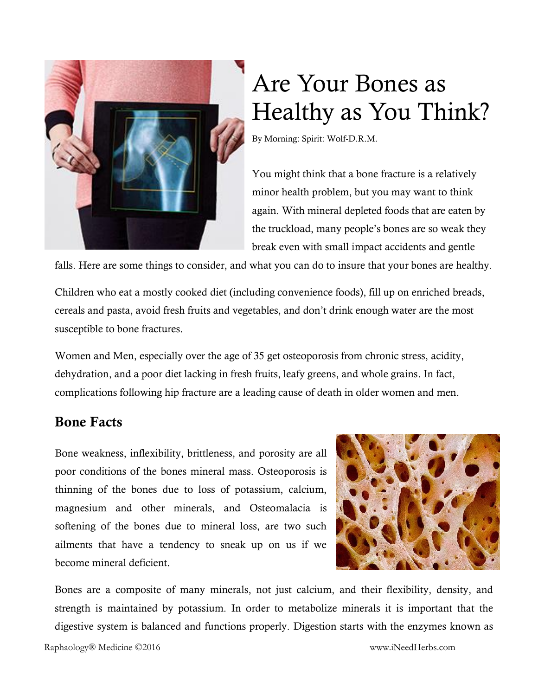

# Are Your Bones as Healthy as You Think?

By Morning: Spirit: Wolf-D.R.M.

You might think that a bone fracture is a relatively minor health problem, but you may want to think again. With mineral depleted foods that are eaten by the truckload, many people's bones are so weak they break even with small impact accidents and gentle

falls. Here are some things to consider, and what you can do to insure that your bones are healthy.

Children who eat a mostly cooked diet (including convenience foods), fill up on enriched breads, cereals and pasta, avoid fresh fruits and vegetables, and don't drink enough water are the most susceptible to bone fractures.

Women and Men, especially over the age of 35 get osteoporosis from chronic stress, acidity, dehydration, and a poor diet lacking in fresh fruits, leafy greens, and whole grains. In fact, complications following hip fracture are a leading cause of death in older women and men.

### Bone Facts

Bone weakness, inflexibility, brittleness, and porosity are all poor conditions of the bones mineral mass. Osteoporosis is thinning of the bones due to loss of potassium, calcium, magnesium and other minerals, and Osteomalacia is softening of the bones due to mineral loss, are two such ailments that have a tendency to sneak up on us if we become mineral deficient.



Bones are a composite of many minerals, not just calcium, and their flexibility, density, and strength is maintained by potassium. In order to metabolize minerals it is important that the digestive system is balanced and functions properly. Digestion starts with the enzymes known as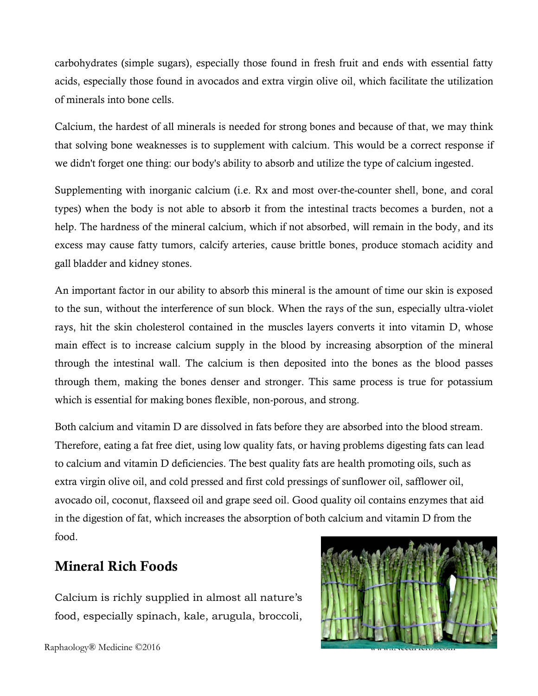carbohydrates (simple sugars), especially those found in fresh fruit and ends with essential fatty acids, especially those found in avocados and extra virgin olive oil, which facilitate the utilization of minerals into bone cells.

Calcium, the hardest of all minerals is needed for strong bones and because of that, we may think that solving bone weaknesses is to supplement with calcium. This would be a correct response if we didn't forget one thing: our body's ability to absorb and utilize the type of calcium ingested.

Supplementing with inorganic calcium (i.e. Rx and most over-the-counter shell, bone, and coral types) when the body is not able to absorb it from the intestinal tracts becomes a burden, not a help. The hardness of the mineral calcium, which if not absorbed, will remain in the body, and its excess may cause fatty tumors, calcify arteries, cause brittle bones, produce stomach acidity and gall bladder and kidney stones.

An important factor in our ability to absorb this mineral is the amount of time our skin is exposed to the sun, without the interference of sun block. When the rays of the sun, especially ultra-violet rays, hit the skin cholesterol contained in the muscles layers converts it into vitamin D, whose main effect is to increase calcium supply in the blood by increasing absorption of the mineral through the intestinal wall. The calcium is then deposited into the bones as the blood passes through them, making the bones denser and stronger. This same process is true for potassium which is essential for making bones flexible, non-porous, and strong.

Both calcium and vitamin D are dissolved in fats before they are absorbed into the blood stream. Therefore, eating a fat free diet, using low quality fats, or having problems digesting fats can lead to calcium and vitamin D deficiencies. The best quality fats are health promoting oils, such as extra virgin olive oil, and cold pressed and first cold pressings of sunflower oil, safflower oil, avocado oil, coconut, flaxseed oil and grape seed oil. Good quality oil contains enzymes that aid in the digestion of fat, which increases the absorption of both calcium and vitamin D from the food.

## Mineral Rich Foods

Calcium is richly supplied in almost all nature's food, especially spinach, kale, arugula, broccoli,

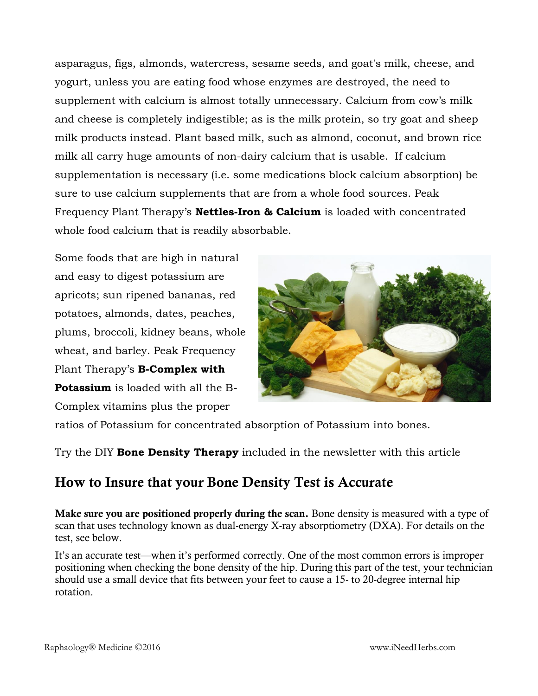asparagus, figs, almonds, watercress, sesame seeds, and goat's milk, cheese, and yogurt, unless you are eating food whose enzymes are destroyed, the need to supplement with calcium is almost totally unnecessary. Calcium from cow's milk and cheese is completely indigestible; as is the milk protein, so try goat and sheep milk products instead. Plant based milk, such as almond, coconut, and brown rice milk all carry huge amounts of non-dairy calcium that is usable. If calcium supplementation is necessary (i.e. some medications block calcium absorption) be sure to use calcium supplements that are from a whole food sources. Peak Frequency Plant Therapy's **Nettles-Iron & Calcium** is loaded with concentrated whole food calcium that is readily absorbable.

Some foods that are high in natural and easy to digest potassium are apricots; sun ripened bananas, red potatoes, almonds, dates, peaches, plums, broccoli, kidney beans, whole wheat, and barley. Peak Frequency Plant Therapy's **B-Complex with Potassium** is loaded with all the B-Complex vitamins plus the proper



ratios of Potassium for concentrated absorption of Potassium into bones.

Try the DIY **Bone Density Therapy** included in the newsletter with this article

## How to Insure that your Bone Density Test is Accurate

Make sure you are positioned properly during the scan. Bone density is measured with a type of scan that uses technology known as dual-energy X-ray absorptiometry (DXA). For details on the test, see below.

It's an accurate test—when it's performed correctly. One of the most common errors is improper positioning when checking the bone density of the hip. During this part of the test, your technician should use a small device that fits between your feet to cause a 15- to 20-degree internal hip rotation.